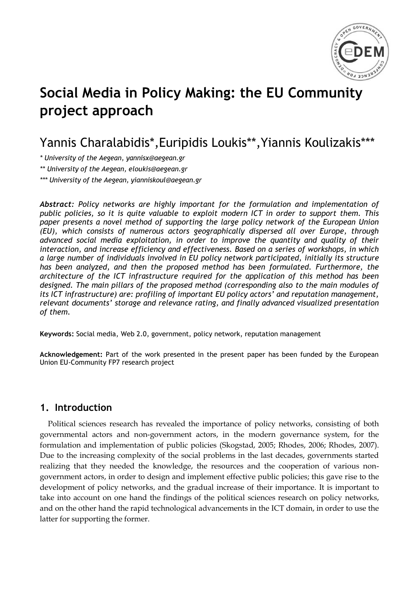

# **Social Media in Policy Making: the EU Community project approach**

## Yannis Charalabidis\* ,Euripidis Loukis\*\*,Yiannis Koulizakis\*\*\*

*\* University of the Aegean, yannisx@aegean.gr*

*\*\* University of the Aegean, [eloukis@aegean.gr](mailto:eloukis@aegean.gr)*

*\*\*\* University of the Aegean, yianniskoul@aegean.gr*

*Abstract: Policy networks are highly important for the formulation and implementation of public policies, so it is quite valuable to exploit modern ICT in order to support them. This paper presents a novel method of supporting the large policy network of the European Union (EU), which consists of numerous actors geographically dispersed all over Europe, through advanced social media exploitation, in order to improve the quantity and quality of their interaction, and increase efficiency and effectiveness. Based on a series of workshops, in which a large number of individuals involved in EU policy network participated, initially its structure has been analyzed, and then the proposed method has been formulated. Furthermore, the architecture of the ICT infrastructure required for the application of this method has been designed. The main pillars of the proposed method (corresponding also to the main modules of its ICT infrastructure) are: profiling of important EU policy actors' and reputation management, relevant documents' storage and relevance rating, and finally advanced visualized presentation of them.*

**Keywords:** Social media, Web 2.0, government, policy network, reputation management

Acknowledgement: Part of the work presented in the present paper has been funded by the European Union EU-Community FP7 research project

## **1. Introduction**

Political sciences research has revealed the importance of policy networks, consisting of both governmental actors and non-government actors, in the modern governance system, for the formulation and implementation of public policies (Skogstad, 2005; Rhodes, 2006; Rhodes, 2007). Due to the increasing complexity of the social problems in the last decades, governments started realizing that they needed the knowledge, the resources and the cooperation of various nongovernment actors, in order to design and implement effective public policies; this gave rise to the development of policy networks, and the gradual increase of their importance. It is important to take into account on one hand the findings of the political sciences research on policy networks, and on the other hand the rapid technological advancements in the ICT domain, in order to use the latter for supporting the former.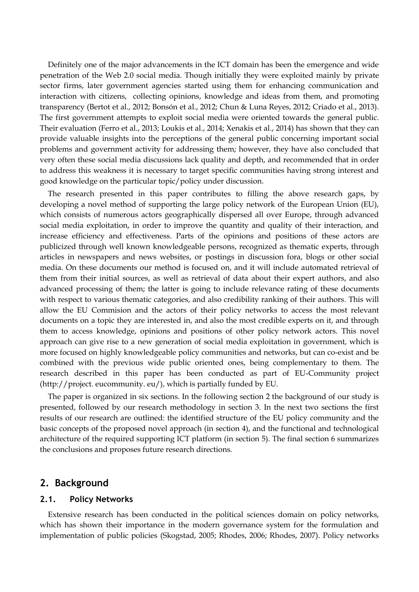Definitely one of the major advancements in the ICT domain has been the emergence and wide penetration of the Web 2.0 social media. Though initially they were exploited mainly by private sector firms, later government agencies started using them for enhancing communication and interaction with citizens, collecting opinions, knowledge and ideas from them, and promoting transparency (Bertot et al., 2012; Bonsón et al., 2012; Chun & Luna Reyes, 2012; Criado et al., 2013). The first government attempts to exploit social media were oriented towards the general public. Their evaluation (Ferro et al., 2013; Loukis et al., 2014; Xenakis et al., 2014) has shown that they can provide valuable insights into the perceptions of the general public concerning important social problems and government activity for addressing them; however, they have also concluded that very often these social media discussions lack quality and depth, and recommended that in order to address this weakness it is necessary to target specific communities having strong interest and good knowledge on the particular topic/policy under discussion.

The research presented in this paper contributes to filling the above research gaps, by developing a novel method of supporting the large policy network of the European Union (EU), which consists of numerous actors geographically dispersed all over Europe, through advanced social media exploitation, in order to improve the quantity and quality of their interaction, and increase efficiency and effectiveness. Parts of the opinions and positions of these actors are publicized through well known knowledgeable persons, recognized as thematic experts, through articles in newspapers and news websites, or postings in discussion fora, blogs or other social media. On these documents our method is focused on, and it will include automated retrieval of them from their initial sources, as well as retrieval of data about their expert authors, and also advanced processing of them; the latter is going to include relevance rating of these documents with respect to various thematic categories, and also credibility ranking of their authors. This will allow the EU Commision and the actors of their policy networks to access the most relevant documents on a topic they are interested in, and also the most credible experts on it, and through them to access knowledge, opinions and positions of other policy network actors. This novel approach can give rise to a new generation of social media exploitation in government, which is more focused on highly knowledgeable policy communities and networks, but can co-exist and be combined with the previous wide public oriented ones, being complementary to them. The research described in this paper has been conducted as part of EU-Community project (http://project. eucommunity. eu/), which is partially funded by EU.

The paper is organized in six sections. In the following section 2 the background of our study is presented, followed by our research methodology in section 3. In the next two sections the first results of our research are outlined: the identified structure of the EU policy community and the basic concepts of the proposed novel approach (in section 4), and the functional and technological architecture of the required supporting ICT platform (in section 5). The final section 6 summarizes the conclusions and proposes future research directions.

## **2. Background**

#### **2.1. Policy Networks**

Extensive research has been conducted in the political sciences domain on policy networks, which has shown their importance in the modern governance system for the formulation and implementation of public policies (Skogstad, 2005; Rhodes, 2006; Rhodes, 2007). Policy networks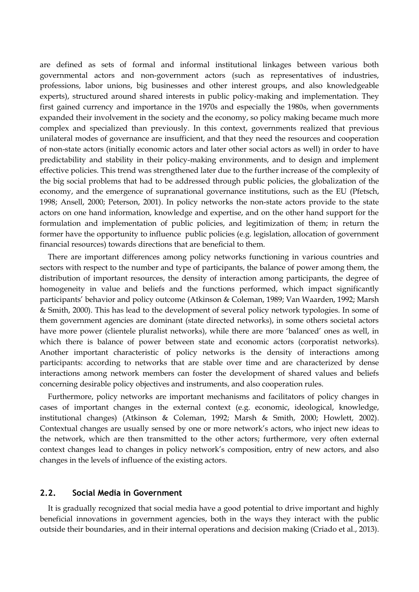are defined as sets of formal and informal institutional linkages between various both governmental actors and non-government actors (such as representatives of industries, professions, labor unions, big businesses and other interest groups, and also knowledgeable experts), structured around shared interests in public policy-making and implementation. They first gained currency and importance in the 1970s and especially the 1980s, when governments expanded their involvement in the society and the economy, so policy making became much more complex and specialized than previously. In this context, governments realized that previous unilateral modes of governance are insufficient, and that they need the resources and cooperation of non-state actors (initially economic actors and later other social actors as well) in order to have predictability and stability in their policy-making environments, and to design and implement effective policies. This trend was strengthened later due to the further increase of the complexity of the big social problems that had to be addressed through public policies, the globalization of the economy, and the emergence of supranational governance institutions, such as the EU (Pfetsch, 1998; Ansell, 2000; Peterson, 2001). In policy networks the non-state actors provide to the state actors on one hand information, knowledge and expertise, and on the other hand support for the formulation and implementation of public policies, and legitimization of them; in return the former have the opportunity to influence public policies (e.g. legislation, allocation of government financial resources) towards directions that are beneficial to them.

There are important differences among policy networks functioning in various countries and sectors with respect to the number and type of participants, the balance of power among them, the distribution of important resources, the density of interaction among participants, the degree of homogeneity in value and beliefs and the functions performed, which impact significantly participants" behavior and policy outcome (Atkinson & Coleman, 1989; Van Waarden, 1992; Marsh & Smith, 2000). This has lead to the development of several policy network typologies. In some of them government agencies are dominant (state directed networks), in some others societal actors have more power (clientele pluralist networks), while there are more "balanced" ones as well, in which there is balance of power between state and economic actors (corporatist networks). Another important characteristic of policy networks is the density of interactions among participants: according to networks that are stable over time and are characterized by dense interactions among network members can foster the development of shared values and beliefs concerning desirable policy objectives and instruments, and also cooperation rules.

Furthermore, policy networks are important mechanisms and facilitators of policy changes in cases of important changes in the external context (e.g. economic, ideological, knowledge, institutional changes) (Atkinson & Coleman, 1992; Marsh & Smith, 2000; Howlett, 2002). Contextual changes are usually sensed by one or more network"s actors, who inject new ideas to the network, which are then transmitted to the other actors; furthermore, very often external context changes lead to changes in policy network"s composition, entry of new actors, and also changes in the levels of influence of the existing actors.

## **2.2. Social Media in Government**

It is gradually recognized that social media have a good potential to drive important and highly beneficial innovations in government agencies, both in the ways they interact with the public outside their boundaries, and in their internal operations and decision making (Criado et al., 2013).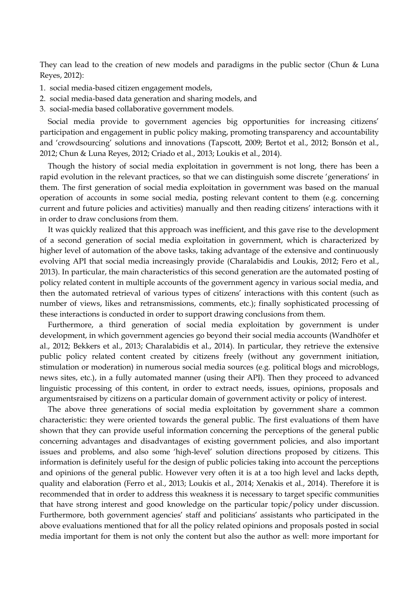They can lead to the creation of new models and paradigms in the public sector (Chun & Luna Reyes, 2012):

- 1. social media-based citizen engagement models,
- 2. social media-based data generation and sharing models, and
- 3. social-media based collaborative government models.

Social media provide to government agencies big opportunities for increasing citizens' participation and engagement in public policy making, promoting transparency and accountability and "crowdsourcing" solutions and innovations (Tapscott, 2009; Bertot et al., 2012; Bonsón et al., 2012; Chun & Luna Reyes, 2012; Criado et al., 2013; Loukis et al., 2014).

Though the history of social media exploitation in government is not long, there has been a rapid evolution in the relevant practices, so that we can distinguish some discrete 'generations' in them. The first generation of social media exploitation in government was based on the manual operation of accounts in some social media, posting relevant content to them (e.g. concerning current and future policies and activities) manually and then reading citizens" interactions with it in order to draw conclusions from them.

It was quickly realized that this approach was inefficient, and this gave rise to the development of a second generation of social media exploitation in government, which is characterized by higher level of automation of the above tasks, taking advantage of the extensive and continuously evolving API that social media increasingly provide (Charalabidis and Loukis, 2012; Fero et al., 2013). In particular, the main characteristics of this second generation are the automated posting of policy related content in multiple accounts of the government agency in various social media, and then the automated retrieval of various types of citizens" interactions with this content (such as number of views, likes and retransmissions, comments, etc.); finally sophisticated processing of these interactions is conducted in order to support drawing conclusions from them.

Furthermore, a third generation of social media exploitation by government is under development, in which government agencies go beyond their social media accounts (Wandhöfer et al., 2012; Bekkers et al., 2013; Charalabidis et al., 2014). In particular, they retrieve the extensive public policy related content created by citizens freely (without any government initiation, stimulation or moderation) in numerous social media sources (e.g. political blogs and microblogs, news sites, etc.), in a fully automated manner (using their API). Then they proceed to advanced linguistic processing of this content, in order to extract needs, issues, opinions, proposals and argumentsraised by citizens on a particular domain of government activity or policy of interest.

The above three generations of social media exploitation by government share a common characteristic: they were oriented towards the general public. The first evaluations of them have shown that they can provide useful information concerning the perceptions of the general public concerning advantages and disadvantages of existing government policies, and also important issues and problems, and also some "high-level" solution directions proposed by citizens. This information is definitely useful for the design of public policies taking into account the perceptions and opinions of the general public. However very often it is at a too high level and lacks depth, quality and elaboration (Ferro et al., 2013; Loukis et al., 2014; Xenakis et al., 2014). Therefore it is recommended that in order to address this weakness it is necessary to target specific communities that have strong interest and good knowledge on the particular topic/policy under discussion. Furthermore, both government agencies' staff and politicians' assistants who participated in the above evaluations mentioned that for all the policy related opinions and proposals posted in social media important for them is not only the content but also the author as well: more important for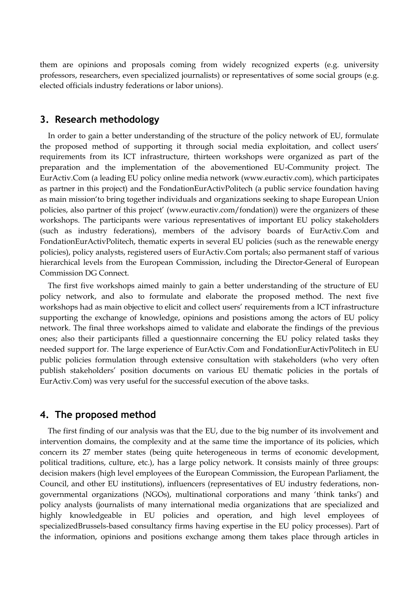them are opinions and proposals coming from widely recognized experts (e.g. university professors, researchers, even specialized journalists) or representatives of some social groups (e.g. elected officials industry federations or labor unions).

## **3. Research methodology**

In order to gain a better understanding of the structure of the policy network of EU, formulate the proposed method of supporting it through social media exploitation, and collect users' requirements from its ICT infrastructure, thirteen workshops were organized as part of the preparation and the implementation of the abovementioned EU-Community project. The EurActiv.Com (a leading EU policy online media network (www.euractiv.com), which participates as partner in this project) and the FondationEurActivPolitech (a public service foundation having as main mission"to bring together individuals and organizations seeking to shape European Union policies, also partner of this project" (www.euractiv.com/fondation)) were the organizers of these workshops. The participants were various representatives of important EU policy stakeholders (such as industry federations), members of the advisory boards of EurActiv.Com and FondationEurActivPolitech, thematic experts in several EU policies (such as the renewable energy policies), policy analysts, registered users of EurActiv.Com portals; also permanent staff of various hierarchical levels from the European Commission, including the Director-General of European Commission DG Connect.

The first five workshops aimed mainly to gain a better understanding of the structure of EU policy network, and also to formulate and elaborate the proposed method. The next five workshops had as main objective to elicit and collect users" requirements from a ICT infrastructure supporting the exchange of knowledge, opinions and posistions among the actors of EU policy network. The final three workshops aimed to validate and elaborate the findings of the previous ones; also their participants filled a questionnaire concerning the EU policy related tasks they needed support for. The large experience of EurActiv.Com and FondationEurActivPolitech in EU public policies formulation through extensive consultation with stakeholders (who very often publish stakeholders" position documents on various EU thematic policies in the portals of EurActiv.Com) was very useful for the successful execution of the above tasks.

## **4. The proposed method**

The first finding of our analysis was that the EU, due to the big number of its involvement and intervention domains, the complexity and at the same time the importance of its policies, which concern its 27 member states (being quite heterogeneous in terms of economic development, political traditions, culture, etc.), has a large policy network. It consists mainly of three groups: decision makers (high level employees of the European Commission, the European Parliament, the Council, and other EU institutions), influencers (representatives of EU industry federations, nongovernmental organizations (NGOs), multinational corporations and many "think tanks") and policy analysts (journalists of many international media organizations that are specialized and highly knowledgeable in EU policies and operation, and high level employees of specializedBrussels-based consultancy firms having expertise in the EU policy processes). Part of the information, opinions and positions exchange among them takes place through articles in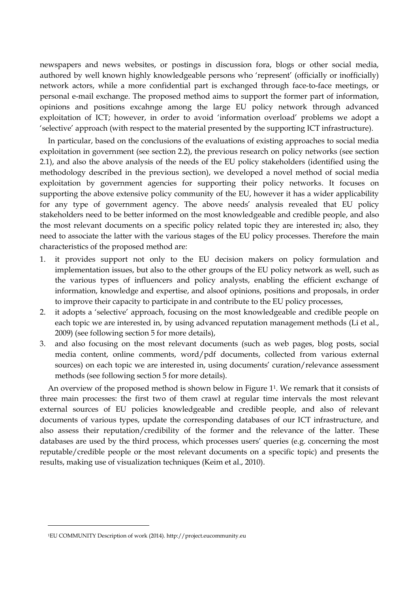newspapers and news websites, or postings in discussion fora, blogs or other social media, authored by well known highly knowledgeable persons who "represent" (officially or inofficially) network actors, while a more confidential part is exchanged through face-to-face meetings, or personal e-mail exchange. The proposed method aims to support the former part of information, opinions and positions excahnge among the large EU policy network through advanced exploitation of ICT; however, in order to avoid "information overload" problems we adopt a "selective" approach (with respect to the material presented by the supporting ICT infrastructure).

In particular, based on the conclusions of the evaluations of existing approaches to social media exploitation in government (see section 2.2), the previous research on policy networks (see section 2.1), and also the above analysis of the needs of the EU policy stakeholders (identified using the methodology described in the previous section), we developed a novel method of social media exploitation by government agencies for supporting their policy networks. It focuses on supporting the above extensive policy community of the EU, however it has a wider applicability for any type of government agency. The above needs" analysis revealed that EU policy stakeholders need to be better informed on the most knowledgeable and credible people, and also the most relevant documents on a specific policy related topic they are interested in; also, they need to associate the latter with the various stages of the EU policy processes. Therefore the main characteristics of the proposed method are:

- 1. it provides support not only to the EU decision makers on policy formulation and implementation issues, but also to the other groups of the EU policy network as well, such as the various types of influencers and policy analysts, enabling the efficient exchange of information, knowledge and expertise, and alsoof opinions, positions and proposals, in order to improve their capacity to participate in and contribute to the EU policy processes,
- 2. it adopts a "selective" approach, focusing on the most knowledgeable and credible people on each topic we are interested in, by using advanced reputation management methods (Li et al., 2009) (see following section 5 for more details),
- 3. and also focusing on the most relevant documents (such as web pages, blog posts, social media content, online comments, word/pdf documents, collected from various external sources) on each topic we are interested in, using documents' curation/relevance assessment methods (see following section 5 for more details).

An overview of the proposed method is shown below in Figure 11. We remark that it consists of three main processes: the first two of them crawl at regular time intervals the most relevant external sources of EU policies knowledgeable and credible people, and also of relevant documents of various types, update the corresponding databases of our ICT infrastructure, and also assess their reputation/credibility of the former and the relevance of the latter. These databases are used by the third process, which processes users' queries (e.g. concerning the most reputable/credible people or the most relevant documents on a specific topic) and presents the results, making use of visualization techniques (Keim et al., 2010).

<sup>1</sup>EU COMMUNITY Description of work (2014). http://project.eucommunity.eu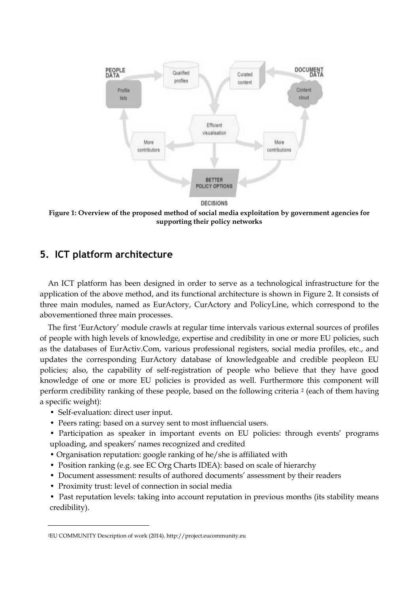

**Figure 1: Overview of the proposed method of social media exploitation by government agencies for supporting their policy networks**

## **5. ICT platform architecture**

An ICT platform has been designed in order to serve as a technological infrastructure for the application of the above method, and its functional architecture is shown in Figure 2. It consists of three main modules, named as EurActory, CurActory and PolicyLine, which correspond to the abovementioned three main processes.

The first "EurActory" module crawls at regular time intervals various external sources of profiles of people with high levels of knowledge, expertise and credibility in one or more EU policies, such as the databases of EurActiv.Com, various professional registers, social media profiles, etc., and updates the corresponding EurActory database of knowledgeable and credible peopleon EU policies; also, the capability of self-registration of people who believe that they have good knowledge of one or more EU policies is provided as well. Furthermore this component will perform credibility ranking of these people, based on the following criteria <sup>2</sup> (each of them having a specific weight):

• Self-evaluation: direct user input.

- Peers rating: based on a survey sent to most influencial users.
- Participation as speaker in important events on EU policies: through events' programs uploading, and speakers" names recognized and credited
- Organisation reputation: google ranking of he/she is affiliated with
- Position ranking (e.g. see EC Org Charts IDEA): based on scale of hierarchy
- Document assessment: results of authored documents' assessment by their readers
- Proximity trust: level of connection in social media
- Past reputation levels: taking into account reputation in previous months (its stability means credibility).

<sup>2</sup>EU COMMUNITY Description of work (2014). http://project.eucommunity.eu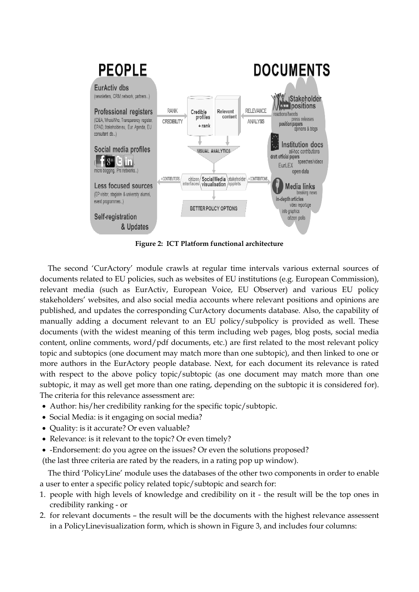

**Figure 2: ICT Platform functional architecture**

The second "CurActory" module crawls at regular time intervals various external sources of documents related to EU policies, such as websites of EU institutions (e.g. European Commission), relevant media (such as EurActiv, European Voice, EU Observer) and various EU policy stakeholders' websites, and also social media accounts where relevant positions and opinions are published, and updates the corresponding CurActory documents database. Also, the capability of manually adding a document relevant to an EU policy/subpolicy is provided as well. These documents (with the widest meaning of this term including web pages, blog posts, social media content, online comments, word/pdf documents, etc.) are first related to the most relevant policy topic and subtopics (one document may match more than one subtopic), and then linked to one or more authors in the EurActory people database. Next, for each document its relevance is rated with respect to the above policy topic/subtopic (as one document may match more than one subtopic, it may as well get more than one rating, depending on the subtopic it is considered for). The criteria for this relevance assessment are:

- Author: his/her credibility ranking for the specific topic/subtopic.
- Social Media: is it engaging on social media?
- Quality: is it accurate? Or even valuable?
- Relevance: is it relevant to the topic? Or even timely?
- -Endorsement: do you agree on the issues? Or even the solutions proposed?

(the last three criteria are rated by the readers, in a rating pop up window).

The third "PolicyLine" module uses the databases of the other two components in order to enable a user to enter a specific policy related topic/subtopic and search for:

- 1. people with high levels of knowledge and credibility on it the result will be the top ones in credibility ranking - or
- 2. for relevant documents the result will be the documents with the highest relevance assessent in a PolicyLinevisualization form, which is shown in Figure 3, and includes four columns: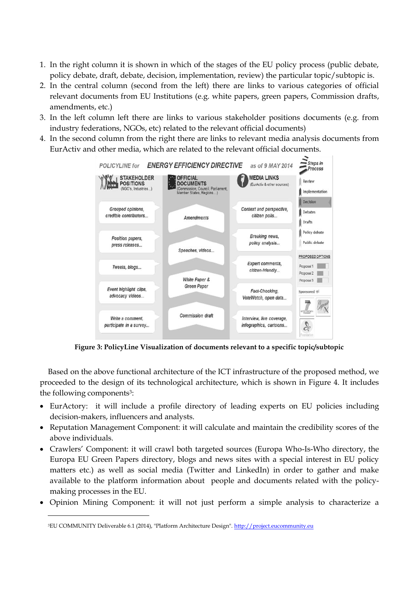- 1. In the right column it is shown in which of the stages of the EU policy process (public debate, policy debate, draft, debate, decision, implementation, review) the particular topic/subtopic is.
- 2. In the central column (second from the left) there are links to various categories of official relevant documents from EU Institutions (e.g. white papers, green papers, Commission drafts, amendments, etc.)
- 3. In the left column left there are links to various stakeholder positions documents (e.g. from industry federations, NGOs, etc) related to the relevant official documents)
- 4. In the second column from the right there are links to relevant media analysis documents from EurActiv and other media, which are related to the relevant official documents.



**Figure 3: PolicyLine Visualization of documents relevant to a specific topic/subtopic**

Based on the above functional architecture of the ICT infrastructure of the proposed method, we proceeded to the design of its technological architecture, which is shown in Figure 4. It includes the following components3:

- EurActory: it will include a profile directory of leading experts on EU policies including decision-makers, influencers and analysts.
- Reputation Management Component: it will calculate and maintain the credibility scores of the above individuals.
- Crawlers" Component: it will crawl both targeted sources (Europa Who-Is-Who directory, the Europa EU Green Papers directory, blogs and news sites with a special interest in EU policy matters etc.) as well as social media (Twitter and LinkedIn) in order to gather and make available to the platform information about people and documents related with the policymaking processes in the EU.
- Opinion Mining Component: it will not just perform a simple analysis to characterize a

<sup>&</sup>lt;sup>3</sup>EU COMMUNITY Deliverable 6.1 (2014), "Platform Architecture Design". [http://project.eucommunity.eu](http://project.eucommunity.eu/)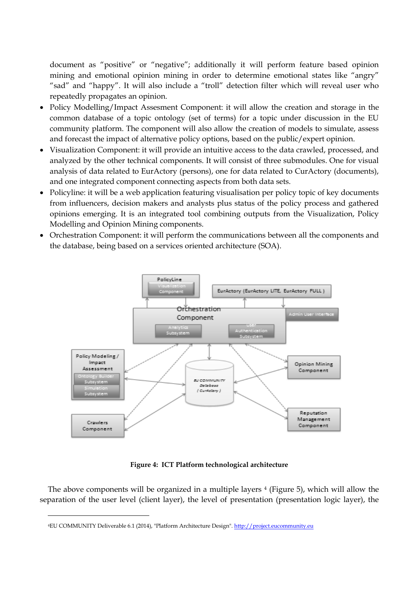document as "positive" or "negative"; additionally it will perform feature based opinion mining and emotional opinion mining in order to determine emotional states like "angry" "sad" and "happy". It will also include a "troll" detection filter which will reveal user who repeatedly propagates an opinion.

- Policy Modelling/Impact Assesment Component: it will allow the creation and storage in the common database of a topic ontology (set of terms) for a topic under discussion in the EU community platform. The component will also allow the creation of models to simulate, assess and forecast the impact of alternative policy options, based on the public/expert opinion.
- Visualization Component: it will provide an intuitive access to the data crawled, processed, and analyzed by the other technical components. It will consist of three submodules. One for visual analysis of data related to EurActory (persons), one for data related to CurActory (documents), and one integrated component connecting aspects from both data sets.
- Policyline: it will be a web application featuring visualisation per policy topic of key documents from influencers, decision makers and analysts plus status of the policy process and gathered opinions emerging. It is an integrated tool combining outputs from the Visualization, Policy Modelling and Opinion Mining components.
- Orchestration Component: it will perform the communications between all the components and the database, being based on a services oriented architecture (SOA).



**Figure 4: ICT Platform technological architecture**

The above components will be organized in a multiple layers  $4$  (Figure 5), which will allow the separation of the user level (client layer), the level of presentation (presentation logic layer), the

<sup>4</sup>EU COMMUNITY Deliverable 6.1 (2014), "Platform Architecture Design". [http://project.eucommunity.eu](http://project.eucommunity.eu/)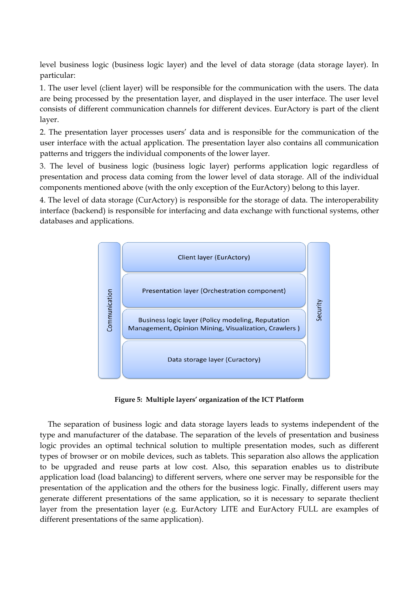level business logic (business logic layer) and the level of data storage (data storage layer). In particular:

1. The user level (client layer) will be responsible for the communication with the users. The data are being processed by the presentation layer, and displayed in the user interface. The user level consists of different communication channels for different devices. EurActory is part of the client layer.

2. The presentation layer processes users" data and is responsible for the communication of the user interface with the actual application. The presentation layer also contains all communication patterns and triggers the individual components of the lower layer.

3. The level of business logic (business logic layer) performs application logic regardless of presentation and process data coming from the lower level of data storage. All of the individual components mentioned above (with the only exception of the EurActory) belong to this layer.

4. The level of data storage (CurActory) is responsible for the storage of data. The interoperability interface (backend) is responsible for interfacing and data exchange with functional systems, other databases and applications.



**Figure 5: Multiple layers' organization of the ICT Platform**

The separation of business logic and data storage layers leads to systems independent of the type and manufacturer of the database. The separation of the levels of presentation and business logic provides an optimal technical solution to multiple presentation modes, such as different types of browser or on mobile devices, such as tablets. This separation also allows the application to be upgraded and reuse parts at low cost. Also, this separation enables us to distribute application load (load balancing) to different servers, where one server may be responsible for the presentation of the application and the others for the business logic. Finally, different users may generate different presentations of the same application, so it is necessary to separate theclient layer from the presentation layer (e.g. EurActory LITE and EurActory FULL are examples of different presentations of the same application).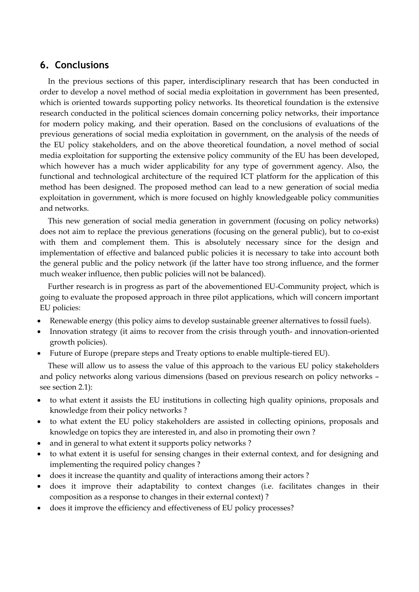## **6. Conclusions**

In the previous sections of this paper, interdisciplinary research that has been conducted in order to develop a novel method of social media exploitation in government has been presented, which is oriented towards supporting policy networks. Its theoretical foundation is the extensive research conducted in the political sciences domain concerning policy networks, their importance for modern policy making, and their operation. Based on the conclusions of evaluations of the previous generations of social media exploitation in government, on the analysis of the needs of the EU policy stakeholders, and on the above theoretical foundation, a novel method of social media exploitation for supporting the extensive policy community of the EU has been developed, which however has a much wider applicability for any type of government agency. Also, the functional and technological architecture of the required ICT platform for the application of this method has been designed. The proposed method can lead to a new generation of social media exploitation in government, which is more focused on highly knowledgeable policy communities and networks.

This new generation of social media generation in government (focusing on policy networks) does not aim to replace the previous generations (focusing on the general public), but to co-exist with them and complement them. This is absolutely necessary since for the design and implementation of effective and balanced public policies it is necessary to take into account both the general public and the policy network (if the latter have too strong influence, and the former much weaker influence, then public policies will not be balanced).

Further research is in progress as part of the abovementioned EU-Community project, which is going to evaluate the proposed approach in three pilot applications, which will concern important EU policies:

- Renewable energy (this policy aims to develop sustainable greener alternatives to fossil fuels).
- Innovation strategy (it aims to recover from the crisis through youth- and innovation-oriented growth policies).
- Future of Europe (prepare steps and Treaty options to enable multiple-tiered EU).

These will allow us to assess the value of this approach to the various EU policy stakeholders and policy networks along various dimensions (based on previous research on policy networks – see section 2.1):

- to what extent it assists the EU institutions in collecting high quality opinions, proposals and knowledge from their policy networks ?
- to what extent the EU policy stakeholders are assisted in collecting opinions, proposals and knowledge on topics they are interested in, and also in promoting their own ?
- and in general to what extent it supports policy networks ?
- to what extent it is useful for sensing changes in their external context, and for designing and implementing the required policy changes ?
- does it increase the quantity and quality of interactions among their actors ?
- does it improve their adaptability to context changes (i.e. facilitates changes in their composition as a response to changes in their external context) ?
- does it improve the efficiency and effectiveness of EU policy processes?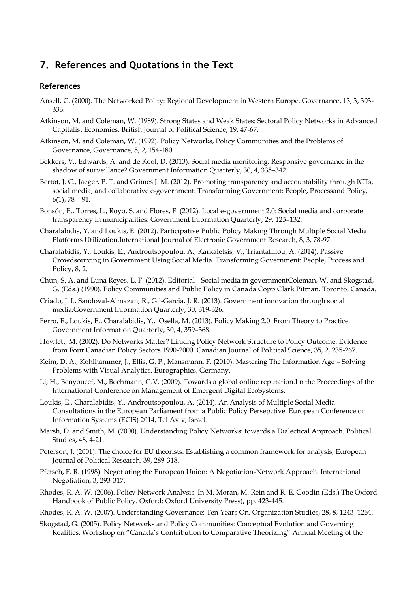## **7. References and Quotations in the Text**

#### **References**

- Ansell, C. (2000). The Networked Polity: Regional Development in Western Europe. Governance, 13, 3, 303- 333.
- Atkinson, M. and Coleman, W. (1989). Strong States and Weak States: Sectoral Policy Networks in Advanced Capitalist Economies. British Journal of Political Science, 19, 47-67.
- Atkinson, M. and Coleman, W. (1992). Policy Networks, Policy Communities and the Problems of Governance, Governance, 5, 2, 154-180.
- Bekkers, V., Edwards, A. and de Kool, D. (2013). Social media monitoring: Responsive governance in the shadow of surveillance? Government Information Quarterly, 30, 4, 335–342.
- Bertot, J. C., Jaeger, P. T. and Grimes J. M. (2012). Promoting transparency and accountability through ICTs, social media, and collaborative e-government. Transforming Government: People, Processand Policy, 6(1), 78 – 91.
- Bonsón, E., Torres, L., Royo, S. and Flores, F. (2012). Local e-government 2.0: Social media and corporate transparency in municipalities. Government Information Quarterly, 29, 123–132.
- Charalabidis, Y. and Loukis, E. (2012). Participative Public Policy Making Through Multiple Social Media Platforms Utilization.International Journal of Electronic Government Research, 8, 3, 78-97.
- Charalabidis, Y., Loukis, E., Androutsopoulou, A., Karkaletsis, V., Triantafillou, A. (2014). Passive Crowdsourcing in Government Using Social Media. Transforming Government: People, Process and Policy, 8, 2.
- Chun, S. A. and Luna Reyes, L. F. (2012). Editorial Social media in governmentColeman, W. and Skogstad, G. (Eds.) (1990). Policy Communities and Public Policy in Canada.Copp Clark Pitman, Toronto, Canada.
- Criado, J. I., Sandoval-Almazan, R., Gil-Garcia, J. R. (2013). Government innovation through social media.Government Information Quarterly, 30, 319-326.
- Ferro, E., Loukis, E., Charalabidis, Y., Osella, M. (2013). Policy Making 2.0: From Theory to Practice. Government Information Quarterly, 30, 4, 359–368.
- Howlett, M. (2002). Do Networks Matter? Linking Policy Network Structure to Policy Outcome: Evidence from Four Canadian Policy Sectors 1990-2000. Canadian Journal of Political Science, 35, 2, 235-267.
- Keim, D. A., Kohlhammer, J., Ellis, G. P., Mansmann, F. (2010). Mastering The Information Age Solving Problems with Visual Analytics. Eurographics, Germany.
- Li, H., Benyoucef, M., Bochmann, G.V. (2009). Towards a global online reputation.I n the Proceedings of the International Conference on Management of Emergent Digital EcoSystems.
- Loukis, E., Charalabidis, Y., Androutsopoulou, A. (2014). An Analysis of Multiple Social Media Consultations in the European Parliament from a Public Policy Persepctive. European Conference on Information Systems (ECIS) 2014, Tel Aviv, Israel.
- Marsh, D. and Smith, M. (2000). Understanding Policy Networks: towards a Dialectical Approach. Political Studies, 48, 4-21.
- Peterson, J. (2001). The choice for EU theorists: Establishing a common framework for analysis, European Journal of Political Research, 39, 289-318.
- Pfetsch, F. R. (1998). Negotiating the European Union: A Negotiation-Network Approach. International Negotiation, 3, 293-317.
- Rhodes, R. A. W. (2006). Policy Network Analysis. In M. Moran, M. Rein and R. E. Goodin (Eds.) The Oxford Handbook of Public Policy. Oxford: Oxford University Press), pp. 423-445.
- Rhodes, R. A. W. (2007). Understanding Governance: Ten Years On. Organization Studies, 28, 8, 1243–1264.
- Skogstad, G. (2005). Policy Networks and Policy Communities: Conceptual Evolution and Governing Realities. Workshop on "Canada"s Contribution to Comparative Theorizing" Annual Meeting of the